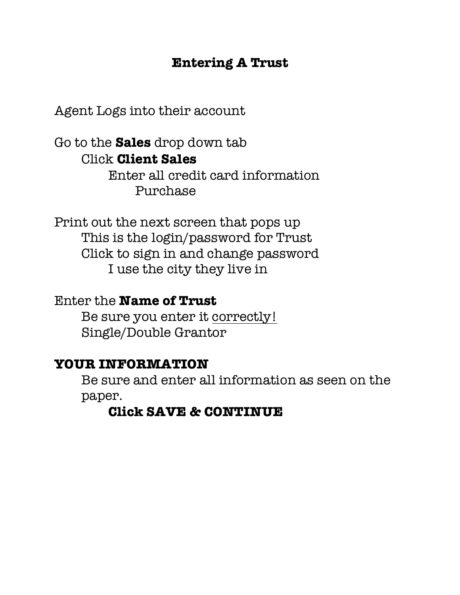## **Entering A Trust**

Agent Logs into their account

Go to the **Sales** drop down tab Click **Client Sales** Enter all credit card information

Purchase

Print out the next screen that pops up This is the login/password for Trust Click to sign in and change password I use the city they live in

### Enter the **Name of Trust**

Be sure you enter it correctly! Single/Double Grantor

### **YOUR INFORMATION**

Be sure and enter all information as seen on the paper.

## **Click SAVE & CONTINUE**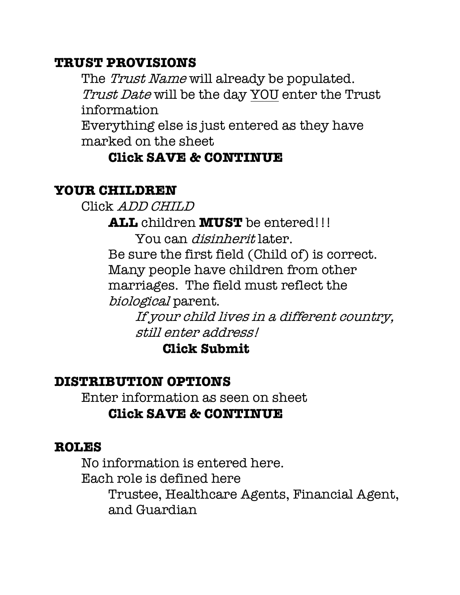## **TRUST PROVISIONS**

The *Trust Name* will already be populated. Trust Date will be the day YOU enter the Trust information

Everything else is just entered as they have marked on the sheet

# **Click SAVE & CONTINUE**

# **YOUR CHILDREN**

Click ADD CHILD

**ALL** children **MUST** be entered!!!

You can disinherit later. Be sure the first field (Child of) is correct. Many people have children from other marriages. The field must reflect the biological parent.

> If your child lives in a different country, still enter address!

**Click Submit**

# **DISTRIBUTION OPTIONS**

Enter information as seen on sheet **Click SAVE & CONTINUE**

## **ROLES**

No information is entered here. Each role is defined here Trustee, Healthcare Agents, Financial Agent, and Guardian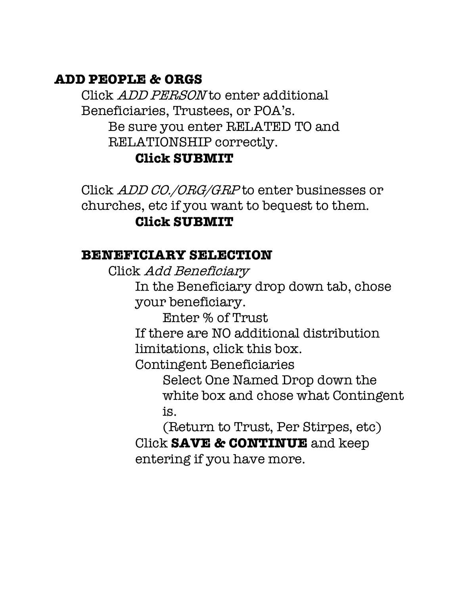## **ADD PEOPLE & ORGS**

Click *ADD PERSON* to enter additional Beneficiaries, Trustees, or POA's. Be sure you enter RELATED TO and RELATIONSHIP correctly.

### **Click SUBMIT**

Click ADD CO./ORG/GRP to enter businesses or churches, etc if you want to bequest to them.

## **Click SUBMIT**

### **BENEFICIARY SELECTION**

Click Add Beneficiary

In the Beneficiary drop down tab, chose your beneficiary.

Enter % of Trust

If there are NO additional distribution limitations, click this box.

Contingent Beneficiaries

Select One Named Drop down the white box and chose what Contingent is.

(Return to Trust, Per Stirpes, etc) Click **SAVE & CONTINUE** and keep entering if you have more.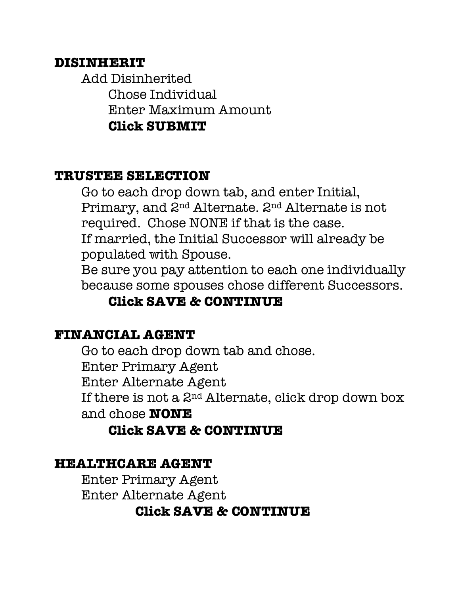### **DISINHERIT**

Add Disinherited Chose Individual Enter Maximum Amount **Click SUBMIT**

#### **TRUSTEE SELECTION**

Go to each drop down tab, and enter Initial, Primary, and 2nd Alternate. 2nd Alternate is not required. Chose NONE if that is the case.

If married, the Initial Successor will already be populated with Spouse.

Be sure you pay attention to each one individually because some spouses chose different Successors.

# **Click SAVE & CONTINUE**

#### **FINANCIAL AGENT**

Go to each drop down tab and chose. Enter Primary Agent Enter Alternate Agent If there is not a 2nd Alternate, click drop down box and chose **NONE**

### **Click SAVE & CONTINUE**

#### **HEALTHCARE AGENT**

Enter Primary Agent Enter Alternate Agent

### **Click SAVE & CONTINUE**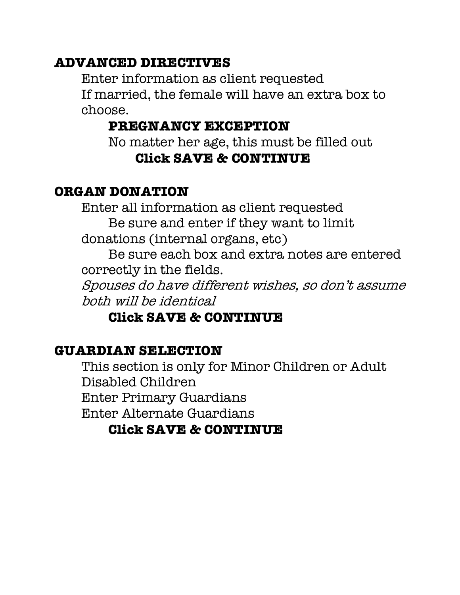## **ADVANCED DIRECTIVES**

Enter information as client requested If married, the female will have an extra box to choose.

## **PREGNANCY EXCEPTION**

No matter her age, this must be filled out **Click SAVE & CONTINUE**

## **ORGAN DONATION**

Enter all information as client requested Be sure and enter if they want to limit donations (internal organs, etc)

Be sure each box and extra notes are entered correctly in the fields.

Spouses do have different wishes, so don't assume both will be identical

## **Click SAVE & CONTINUE**

## **GUARDIAN SELECTION**

This section is only for Minor Children or Adult Disabled Children Enter Primary Guardians Enter Alternate Guardians **Click SAVE & CONTINUE**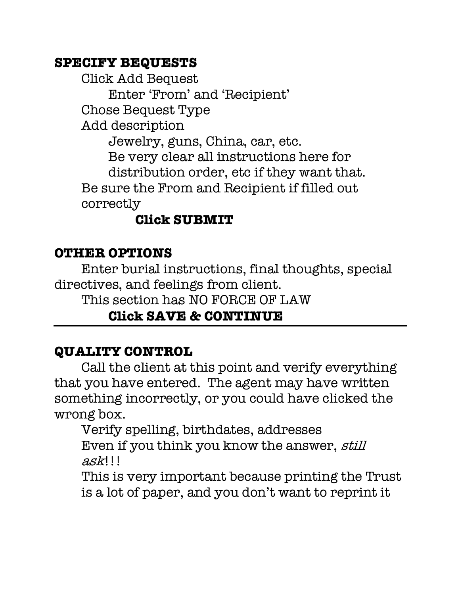## **SPECIFY BEQUESTS**

Click Add Bequest Enter 'From' and 'Recipient' Chose Bequest Type Add description Jewelry, guns, China, car, etc. Be very clear all instructions here for distribution order, etc if they want that. Be sure the From and Recipient if filled out correctly

# **Click SUBMIT**

## **OTHER OPTIONS**

Enter burial instructions, final thoughts, special directives, and feelings from client.

This section has NO FORCE OF LAW

# **Click SAVE & CONTINUE**

# **QUALITY CONTROL**

Call the client at this point and verify everything that you have entered. The agent may have written something incorrectly, or you could have clicked the wrong box.

Verify spelling, birthdates, addresses Even if you think you know the answer, still ask!!!

This is very important because printing the Trust is a lot of paper, and you don't want to reprint it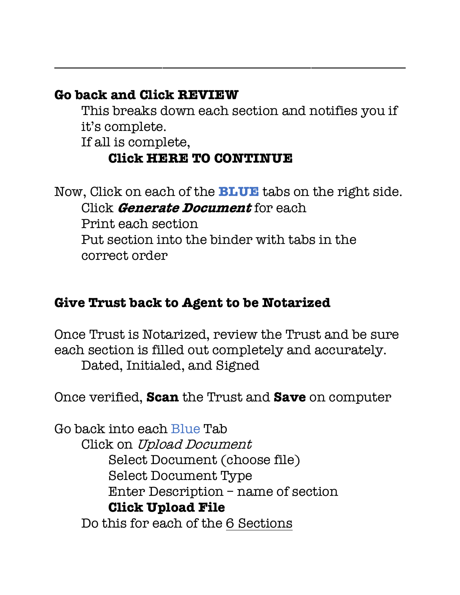# **Go back and Click REVIEW**

This breaks down each section and notifies you if it's complete.

\_\_\_\_\_\_\_\_\_\_\_\_\_\_\_\_\_\_\_\_\_\_\_\_\_\_\_\_\_\_\_\_\_\_\_\_\_\_\_\_\_\_\_\_\_\_\_\_\_\_\_\_

If all is complete,

# **Click HERE TO CONTINUE**

Now, Click on each of the **BLUE** tabs on the right side. Click **Generate Document** for each Print each section Put section into the binder with tabs in the correct order

# **Give Trust back to Agent to be Notarized**

Once Trust is Notarized, review the Trust and be sure each section is filled out completely and accurately. Dated, Initialed, and Signed

Once verified, **Scan** the Trust and **Save** on computer

Go back into each Blue Tab Click on Upload Document Select Document (choose file) Select Document Type Enter Description – name of section **Click Upload File** Do this for each of the 6 Sections